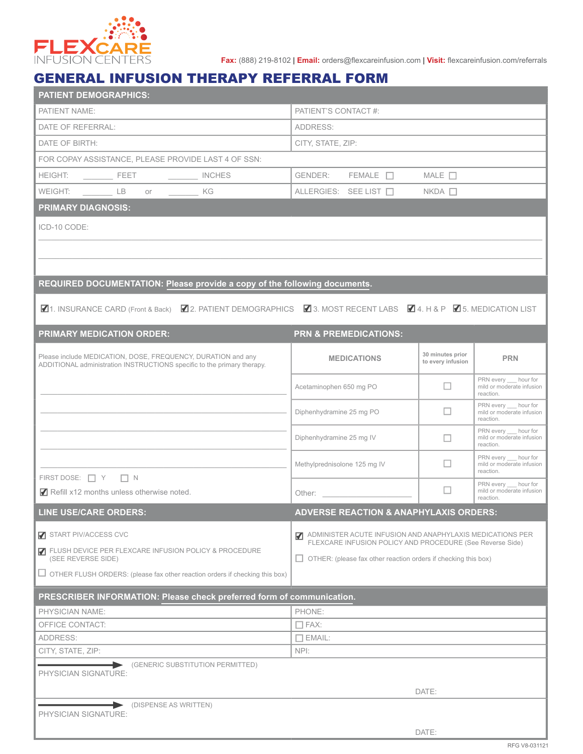

**Fax:** (888) 219-8102 | **Email:** orders@flexcareinfusion.com | **Visit:** flexcareinfusion.com/referrals

## GENERAL INFUSION THERAPY REFERRAL FORM

| <b>PATIENT DEMOGRAPHICS:</b>                                                                                                            |                                                                             |                                       |                                                                 |  |  |
|-----------------------------------------------------------------------------------------------------------------------------------------|-----------------------------------------------------------------------------|---------------------------------------|-----------------------------------------------------------------|--|--|
| PATIENT NAME:                                                                                                                           | PATIENT'S CONTACT #:                                                        |                                       |                                                                 |  |  |
| DATE OF REFERRAL:                                                                                                                       | ADDRESS:                                                                    |                                       |                                                                 |  |  |
| DATE OF BIRTH:                                                                                                                          | CITY, STATE, ZIP:                                                           |                                       |                                                                 |  |  |
| FOR COPAY ASSISTANCE, PLEASE PROVIDE LAST 4 OF SSN:                                                                                     |                                                                             |                                       |                                                                 |  |  |
|                                                                                                                                         | GENDER: FEMALE $\Box$ MALE $\Box$                                           |                                       |                                                                 |  |  |
| WEIGHT: __________ LB or _________ KG                                                                                                   | ALLERGIES: SEE LIST □                                                       | $NKDA$ $\Box$                         |                                                                 |  |  |
| <b>PRIMARY DIAGNOSIS:</b>                                                                                                               |                                                                             |                                       |                                                                 |  |  |
| ICD-10 CODE:                                                                                                                            |                                                                             |                                       |                                                                 |  |  |
|                                                                                                                                         |                                                                             |                                       |                                                                 |  |  |
|                                                                                                                                         |                                                                             |                                       |                                                                 |  |  |
|                                                                                                                                         |                                                                             |                                       |                                                                 |  |  |
| REQUIRED DOCUMENTATION: Please provide a copy of the following documents.                                                               |                                                                             |                                       |                                                                 |  |  |
| M1. INSURANCE CARD (Front & Back) M2. PATIENT DEMOGRAPHICS M3. MOST RECENT LABS M4. H & P M5. MEDICATION LIST                           |                                                                             |                                       |                                                                 |  |  |
|                                                                                                                                         |                                                                             |                                       |                                                                 |  |  |
| <b>PRIMARY MEDICATION ORDER:</b>                                                                                                        | <b>PRN &amp; PREMEDICATIONS:</b>                                            |                                       |                                                                 |  |  |
| Please include MEDICATION, DOSE, FREQUENCY, DURATION and any<br>ADDITIONAL administration INSTRUCTIONS specific to the primary therapy. | <b>MEDICATIONS</b>                                                          | 30 minutes prior<br>to every infusion | <b>PRN</b>                                                      |  |  |
|                                                                                                                                         | Acetaminophen 650 mg PO                                                     | $\Box$                                | PRN every hour for<br>mild or moderate infusion<br>reaction.    |  |  |
|                                                                                                                                         | Diphenhydramine 25 mg PO                                                    | $\Box$                                | PRN every __ hour for<br>mild or moderate infusion<br>reaction. |  |  |
|                                                                                                                                         | Diphenhydramine 25 mg IV                                                    | $\Box$                                | PRN every __ hour for<br>mild or moderate infusion<br>reaction. |  |  |
|                                                                                                                                         | Methylprednisolone 125 mg IV                                                | $\Box$                                | PRN every hour for<br>mild or moderate infusion<br>reaction.    |  |  |
| FIRST DOSE: $\Box$ Y $\Box$ N<br>Refill x12 months unless otherwise noted.                                                              |                                                                             | П                                     | PRN every __ hour for<br>mild or moderate infusion<br>reaction. |  |  |
| LINE USE/CARE ORDERS:                                                                                                                   | <b>ADVERSE REACTION &amp; ANAPHYLAXIS ORDERS:</b>                           |                                       |                                                                 |  |  |
| START PIV/ACCESS CVC                                                                                                                    | ADMINISTER ACUTE INFUSION AND ANAPHYLAXIS MEDICATIONS PER<br>$\blacksquare$ |                                       |                                                                 |  |  |
| <b>7</b> FLUSH DEVICE PER FLEXCARE INFUSION POLICY & PROCEDURE                                                                          | FLEXCARE INFUSION POLICY AND PROCEDURE (See Reverse Side)                   |                                       |                                                                 |  |  |
| (SEE REVERSE SIDE)                                                                                                                      | $\Box$ OTHER: (please fax other reaction orders if checking this box)       |                                       |                                                                 |  |  |
| $\Box$ OTHER FLUSH ORDERS: (please fax other reaction orders if checking this box)                                                      |                                                                             |                                       |                                                                 |  |  |
| PRESCRIBER INFORMATION: Please check preferred form of communication.                                                                   |                                                                             |                                       |                                                                 |  |  |
| PHYSICIAN NAME:                                                                                                                         | PHONE:                                                                      |                                       |                                                                 |  |  |
| OFFICE CONTACT:                                                                                                                         | $\Box$ FAX:                                                                 |                                       |                                                                 |  |  |
| <b>ADDRESS:</b>                                                                                                                         | $\Box$ EMAIL:                                                               |                                       |                                                                 |  |  |
| CITY, STATE, ZIP:                                                                                                                       | NPI:                                                                        |                                       |                                                                 |  |  |
| (GENERIC SUBSTITUTION PERMITTED)<br>PHYSICIAN SIGNATURE:                                                                                |                                                                             |                                       |                                                                 |  |  |
|                                                                                                                                         |                                                                             | DATE:                                 |                                                                 |  |  |
| (DISPENSE AS WRITTEN)                                                                                                                   |                                                                             |                                       |                                                                 |  |  |
| PHYSICIAN SIGNATURE:                                                                                                                    |                                                                             |                                       |                                                                 |  |  |
|                                                                                                                                         |                                                                             | DATE:                                 |                                                                 |  |  |
|                                                                                                                                         |                                                                             |                                       |                                                                 |  |  |